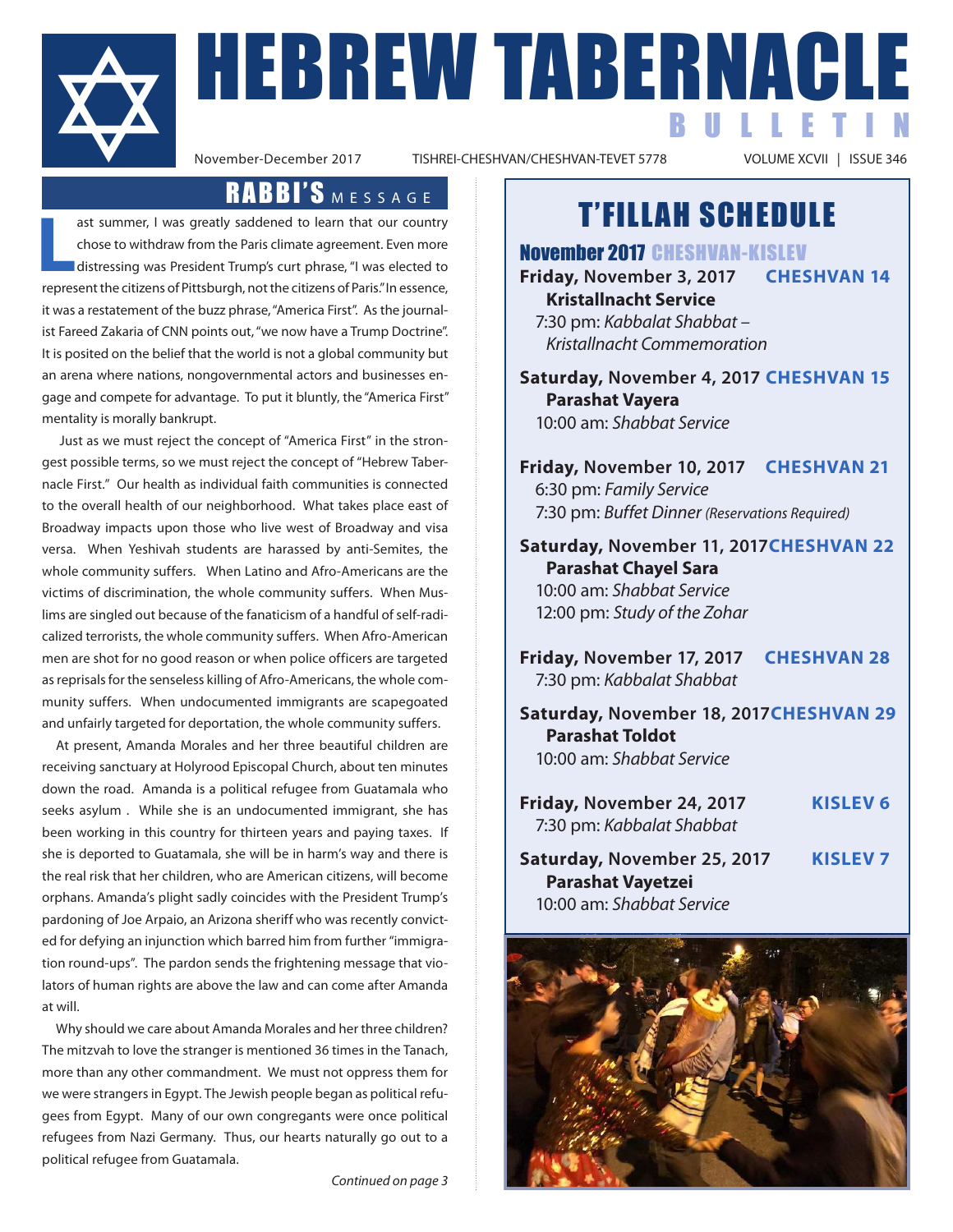

NACLE<br>
November-December 2017 TISHREI-CHESHVAN/CHESHVAN-TEVET 5778 VOLUME XCVII | ISSUE 346 BULLETIN

TISHREI-CHESHVAN/CHESHVAN-TEVET 5778

### RABBI'S MESSAGE

**L** ast summer, I was greatly saddened to learn that our country chose to withdraw from the Paris climate agreement. Even more distressing was President Trump's curt phrase, "I was elected to represent the citizens of Pittsburgh, not the citizens of Paris." In essence, it was a restatement of the buzz phrase, "America First". As the journalist Fareed Zakaria of CNN points out, "we now have a Trump Doctrine". It is posited on the belief that the world is not a global community but an arena where nations, nongovernmental actors and businesses engage and compete for advantage. To put it bluntly, the "America First" mentality is morally bankrupt.

 Just as we must reject the concept of "America First" in the strongest possible terms, so we must reject the concept of "Hebrew Tabernacle First." Our health as individual faith communities is connected to the overall health of our neighborhood. What takes place east of Broadway impacts upon those who live west of Broadway and visa versa. When Yeshivah students are harassed by anti-Semites, the whole community suffers. When Latino and Afro-Americans are the victims of discrimination, the whole community suffers. When Muslims are singled out because of the fanaticism of a handful of self-radicalized terrorists, the whole community suffers. When Afro-American men are shot for no good reason or when police officers are targeted as reprisals for the senseless killing of Afro-Americans, the whole community suffers. When undocumented immigrants are scapegoated and unfairly targeted for deportation, the whole community suffers.

At present, Amanda Morales and her three beautiful children are receiving sanctuary at Holyrood Episcopal Church, about ten minutes down the road. Amanda is a political refugee from Guatamala who seeks asylum . While she is an undocumented immigrant, she has been working in this country for thirteen years and paying taxes. If she is deported to Guatamala, she will be in harm's way and there is the real risk that her children, who are American citizens, will become orphans. Amanda's plight sadly coincides with the President Trump's pardoning of Joe Arpaio, an Arizona sheriff who was recently convicted for defying an injunction which barred him from further "immigration round-ups". The pardon sends the frightening message that violators of human rights are above the law and can come after Amanda at will.

Why should we care about Amanda Morales and her three children? The mitzvah to love the stranger is mentioned 36 times in the Tanach, more than any other commandment. We must not oppress them for we were strangers in Egypt. The Jewish people began as political refugees from Egypt. Many of our own congregants were once political refugees from Nazi Germany. Thus, our hearts naturally go out to a political refugee from Guatamala.

*Continued on page 3*

# T'FILLAH SCHEDULE

November 2017 CHESHVAN-KISLEV **Friday, November 3, 2017 CHESHVAN 14 Kristallnacht Service** 7:30 pm: *Kabbalat Shabbat – Kristallnacht Commemoration*

**Saturday, November 4, 2017 CHESHVAN 15 Parashat Vayera** 10:00 am: *Shabbat Service*

**Friday, November 10, 2017 CHESHVAN 21** 6:30 pm: *Family Service* 7:30 pm: *Buffet Dinner (Reservations Required)*

**Saturday, November 11, 2017CHESHVAN 22 Parashat Chayel Sara** 10:00 am: *Shabbat Service*

12:00 pm: *Study of the Zohar*

**Friday, November 17, 2017 CHESHVAN 28** 7:30 pm: *Kabbalat Shabbat*

**Saturday, November 18, 2017CHESHVAN 29 Parashat Toldot** 10:00 am: *Shabbat Service*

| Friday, November 24, 2017<br>7:30 pm: Kabbalat Shabbat  | KISLEV <sub>6</sub> |
|---------------------------------------------------------|---------------------|
| Saturday, November 25, 2017<br><b>Parashat Vayetzei</b> | <b>KISLEV 7</b>     |
| 10:00 am: Shabbat Service                               |                     |

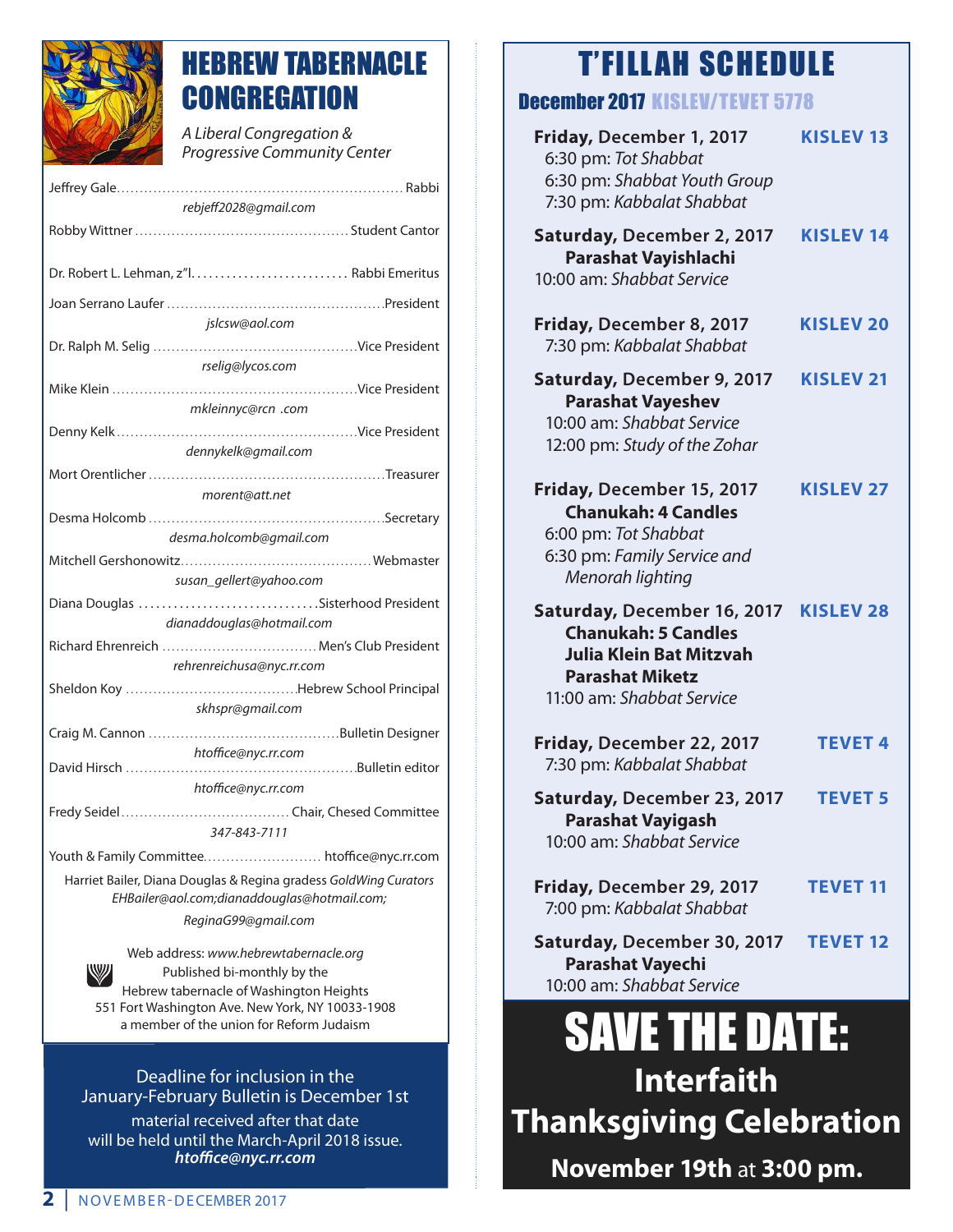

# HEBREW TABERNACLE **CONGREGATION**

*A Liberal Congregation & Progressive Community Center* 

Jeffrey Gale . . Rabbi

| rebjeff2028@gmail.com                                            |  |  |
|------------------------------------------------------------------|--|--|
|                                                                  |  |  |
|                                                                  |  |  |
|                                                                  |  |  |
|                                                                  |  |  |
|                                                                  |  |  |
| jslcsw@aol.com                                                   |  |  |
|                                                                  |  |  |
| rselig@lycos.com                                                 |  |  |
|                                                                  |  |  |
| mkleinnyc@rcn .com                                               |  |  |
|                                                                  |  |  |
| dennykelk@gmail.com                                              |  |  |
|                                                                  |  |  |
|                                                                  |  |  |
| morent@att.net                                                   |  |  |
|                                                                  |  |  |
| desma.holcomb@gmail.com                                          |  |  |
|                                                                  |  |  |
| susan_gellert@yahoo.com                                          |  |  |
| Diana Douglas Sisterhood President                               |  |  |
| dianaddouglas@hotmail.com                                        |  |  |
| Richard Ehrenreich  Men's Club President                         |  |  |
| rehrenreichusa@nyc.rr.com                                        |  |  |
|                                                                  |  |  |
|                                                                  |  |  |
| skhspr@gmail.com                                                 |  |  |
|                                                                  |  |  |
| htoffice@nyc.rr.com                                              |  |  |
|                                                                  |  |  |
| htoffice@nyc.rr.com                                              |  |  |
|                                                                  |  |  |
| 347-843-7111                                                     |  |  |
| Youth & Family Committee htoffice@nyc.rr.com                     |  |  |
| Harriet Bailer, Diana Douglas & Regina gradess GoldWing Curators |  |  |
| EHBailer@aol.com;dianaddouglas@hotmail.com;                      |  |  |
|                                                                  |  |  |
| ReginaG99@gmail.com                                              |  |  |

Web address: *www.hebrewtabernacle.org* Published bi-monthly by the Hebrew tabernacle of Washington Heights 551 Fort Washington Ave. New York, NY 10033-1908 a member of the union for Reform Judaism

Deadline for inclusion in the January-February Bulletin is December 1st material received after that date will be held until the March-April 2018 issue. *htoffice@nyc.rr.com*

# T'FILLAH SCHEDULE

### December 2017 KISLEV/TEVET 5778

| Friday, December 1, 2017<br>6:30 pm: Tot Shabbat<br>6:30 pm: Shabbat Youth Group<br>7:30 pm: Kabbalat Shabbat                                                | <b>KISLEV 13</b> |
|--------------------------------------------------------------------------------------------------------------------------------------------------------------|------------------|
| Saturday, December 2, 2017<br><b>Parashat Vayishlachi</b><br>10:00 am: Shabbat Service                                                                       | <b>KISLEV 14</b> |
| Friday, December 8, 2017<br>7:30 pm: Kabbalat Shabbat                                                                                                        | <b>KISLEV 20</b> |
| Saturday, December 9, 2017<br><b>Parashat Vayeshev</b><br>10:00 am: Shabbat Service<br>12:00 pm: Study of the Zohar                                          | <b>KISLEV 21</b> |
| Friday, December 15, 2017<br><b>Chanukah: 4 Candles</b><br>6:00 pm: Tot Shabbat<br>6:30 pm: Family Service and<br>Menorah lighting                           | <b>KISLEV 27</b> |
| Saturday, December 16, 2017 KISLEV 28<br><b>Chanukah: 5 Candles</b><br><b>Julia Klein Bat Mitzvah</b><br><b>Parashat Miketz</b><br>11:00 am: Shabbat Service |                  |
| Friday, December 22, 2017<br>7:30 pm: Kabbalat Shabbat                                                                                                       | <b>TEVET 4</b>   |
| Saturday, December 23, 2017<br><b>Parashat Vayigash</b><br>10:00 am: Shabbat Service                                                                         | <b>TEVET 5</b>   |
| Friday, December 29, 2017<br>7:00 pm: Kabbalat Shabbat                                                                                                       | <b>TEVET 11</b>  |
| Saturday, December 30, 2017<br><b>Parashat Vayechi</b><br>10:00 am: Shabbat Service                                                                          | <b>TEVET 12</b>  |
| <b>SAVE THE DATE:</b>                                                                                                                                        |                  |
| <b>Interfaith</b>                                                                                                                                            |                  |
|                                                                                                                                                              |                  |
| <b>Thanksgiving Celebration</b>                                                                                                                              |                  |

**November 19th** at **3:00 pm.**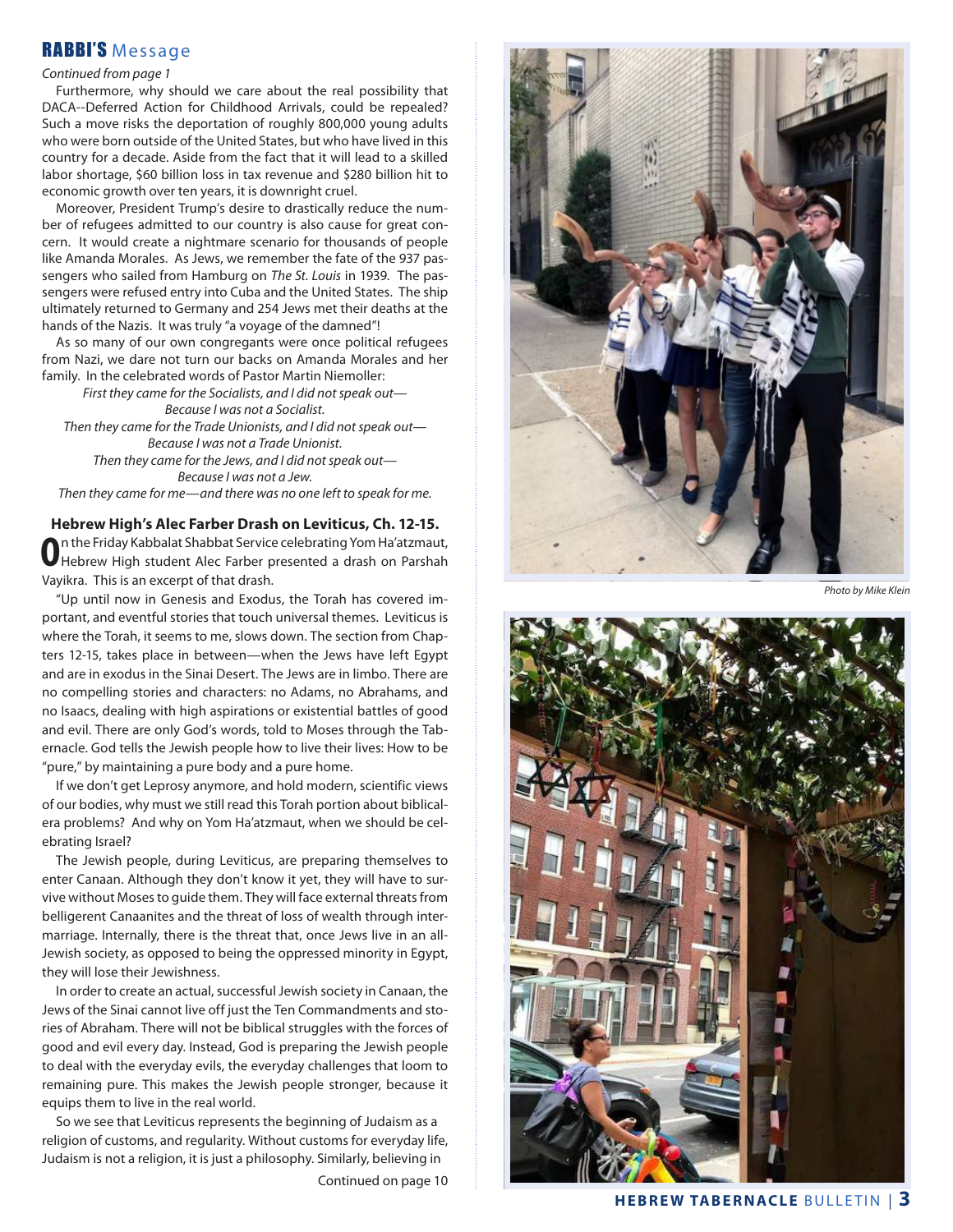### RABBI'S Message

#### *Continued from page 1*

Furthermore, why should we care about the real possibility that DACA--Deferred Action for Childhood Arrivals, could be repealed? Such a move risks the deportation of roughly 800,000 young adults who were born outside of the United States, but who have lived in this country for a decade. Aside from the fact that it will lead to a skilled labor shortage, \$60 billion loss in tax revenue and \$280 billion hit to economic growth over ten years, it is downright cruel.

Moreover, President Trump's desire to drastically reduce the number of refugees admitted to our country is also cause for great concern. It would create a nightmare scenario for thousands of people like Amanda Morales. As Jews, we remember the fate of the 937 passengers who sailed from Hamburg on *The St. Louis* in 1939. The passengers were refused entry into Cuba and the United States. The ship ultimately returned to Germany and 254 Jews met their deaths at the hands of the Nazis. It was truly "a voyage of the damned"!

As so many of our own congregants were once political refugees from Nazi, we dare not turn our backs on Amanda Morales and her family. In the celebrated words of Pastor Martin Niemoller:

*First they came for the Socialists, and I did not speak out— Because I was not a Socialist. Then they came for the Trade Unionists, and I did not speak out— Because I was not a Trade Unionist. Then they came for the Jews, and I did not speak out— Because I was not a Jew. Then they came for me—and there was no one left to speak for me.*

**Hebrew High's Alec Farber Drash on Leviticus, Ch. 12-15. O**n the Friday Kabbalat Shabbat Service celebrating Yom Ha'atzmaut, Hebrew High student Alec Farber presented a drash on Parshah Vayikra. This is an excerpt of that drash.

"Up until now in Genesis and Exodus, the Torah has covered important, and eventful stories that touch universal themes. Leviticus is where the Torah, it seems to me, slows down. The section from Chapters 12-15, takes place in between—when the Jews have left Egypt and are in exodus in the Sinai Desert. The Jews are in limbo. There are no compelling stories and characters: no Adams, no Abrahams, and no Isaacs, dealing with high aspirations or existential battles of good and evil. There are only God's words, told to Moses through the Tabernacle. God tells the Jewish people how to live their lives: How to be "pure," by maintaining a pure body and a pure home.

If we don't get Leprosy anymore, and hold modern, scientific views of our bodies, why must we still read this Torah portion about biblicalera problems? And why on Yom Ha'atzmaut, when we should be celebrating Israel?

The Jewish people, during Leviticus, are preparing themselves to enter Canaan. Although they don't know it yet, they will have to survive without Moses to guide them. They will face external threats from belligerent Canaanites and the threat of loss of wealth through intermarriage. Internally, there is the threat that, once Jews live in an all-Jewish society, as opposed to being the oppressed minority in Egypt, they will lose their Jewishness.

In order to create an actual, successful Jewish society in Canaan, the Jews of the Sinai cannot live off just the Ten Commandments and stories of Abraham. There will not be biblical struggles with the forces of good and evil every day. Instead, God is preparing the Jewish people to deal with the everyday evils, the everyday challenges that loom to remaining pure. This makes the Jewish people stronger, because it equips them to live in the real world.

So we see that Leviticus represents the beginning of Judaism as a religion of customs, and regularity. Without customs for everyday life, Judaism is not a religion, it is just a philosophy. Similarly, believing in Continued on page 10



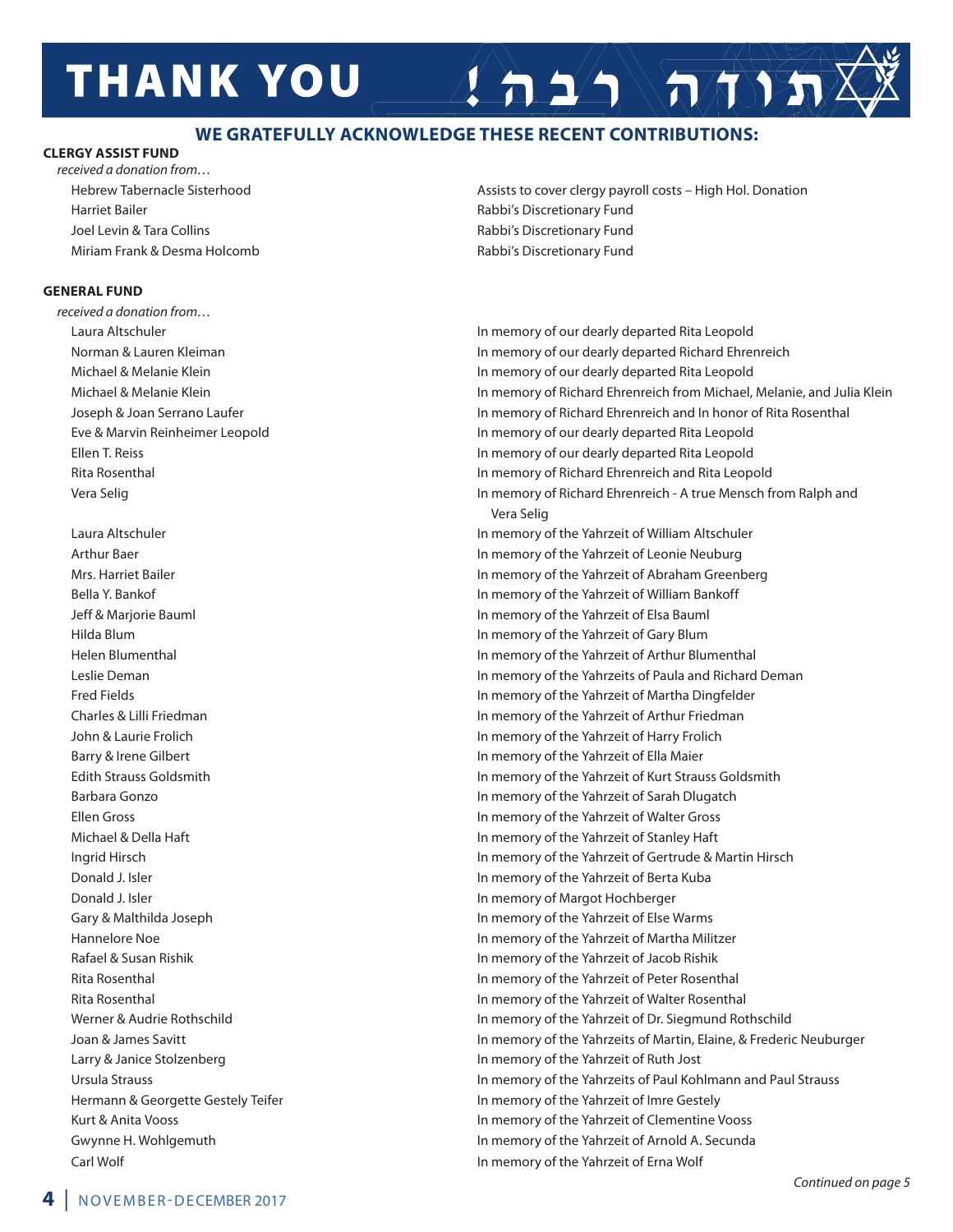# **THANK YOU**

### **WE GRATEFULLY ACKNOWLEDGE THESE RECENT CONTRIBUTIONS:**

#### **CLERGY ASSIST FUND**

*received a donation from…* Harriet Bailer Rabbi's Discretionary Fund Joel Levin & Tara Collins **Rabbit Accord Colling** Rabbi's Discretionary Fund Miriam Frank & Desma Holcomb **Rabbi's Discretionary Fund** 

#### **GENERAL FUND**

*received a donation from…*

Carl Wolf In memory of the Yahrzeit of Erna Wolf

Hebrew Tabernacle Sisterhood **Assists to cover clergy payroll costs - High Hol. Donation** Assists to cover clergy payroll costs - High Hol. Donation

 $\left( \left. \mathbf{A} \mathbf{A} \mathbf{A} \right)$ 

 Laura Altschuler In memory of our dearly departed Rita Leopold Norman & Lauren Kleiman **In memory of our dearly departed Richard Ehrenreich** In memory of our dearly departed Richard Ehrenreich Michael & Melanie Klein In memory of our dearly departed Rita Leopold Michael & Melanie Klein In memory of Richard Ehrenreich from Michael, Melanie, and Julia Klein Joseph & Joan Serrano Laufer In memory of Richard Ehrenreich and In honor of Rita Rosenthal Eve & Marvin Reinheimer Leopold In memory of our dearly departed Rita Leopold Ellen T. Reiss In memory of our dearly departed Rita Leopold Rita Rosenthal In memory of Richard Ehrenreich and Rita Leopold Vera Selig In memory of Richard Ehrenreich - A true Mensch from Ralph and Vera Selig Laura Altschuler In memory of the Yahrzeit of William Altschuler Arthur Baer **In memory of the Yahrzeit of Leonie Neuburg** In memory of the Yahrzeit of Leonie Neuburg Mrs. Harriet Bailer In memory of the Yahrzeit of Abraham Greenberg Bella Y. Bankof In memory of the Yahrzeit of William Bankoff Jeff & Marjorie Bauml In memory of the Yahrzeit of Elsa Bauml Hilda Blum In memory of the Yahrzeit of Gary Blum Helen Blumenthal In memory of the Yahrzeit of Arthur Blumenthal Leslie Deman **In memory of the Yahrzeits of Paula and Richard Deman** In memory of the Yahrzeits of Paula and Richard Deman Fred Fields In memory of the Yahrzeit of Martha Dingfelder Charles & Lilli Friedman In memory of the Yahrzeit of Arthur Friedman John & Laurie Frolich In memory of the Yahrzeit of Harry Frolich Barry & Irene Gilbert **In memory of the Yahrzeit of Ella Maier** In memory of the Yahrzeit of Ella Maier Edith Strauss Goldsmith In memory of the Yahrzeit of Kurt Strauss Goldsmith Barbara Gonzo In memory of the Yahrzeit of Sarah Dlugatch Ellen Gross In memory of the Yahrzeit of Walter Gross Michael & Della Haft In memory of the Yahrzeit of Stanley Haft Ingrid Hirsch In memory of the Yahrzeit of Gertrude & Martin Hirsch Donald J. Isler In memory of the Yahrzeit of Berta Kuba Donald J. Isler **In memory of Margot Hochberger In memory of Margot Hochberger** Gary & Malthilda Joseph **In memory of the Yahrzeit of Else Warms** In memory of the Yahrzeit of Else Warms Hannelore Noe In memory of the Yahrzeit of Martha Militzer Rafael & Susan Rishik In memory of the Yahrzeit of Jacob Rishik Rita Rosenthal In memory of the Yahrzeit of Peter Rosenthal Rita Rosenthal In memory of the Yahrzeit of Walter Rosenthal Werner & Audrie Rothschild In memory of the Yahrzeit of Dr. Siegmund Rothschild Joan & James Savitt In memory of the Yahrzeits of Martin, Elaine, & Frederic Neuburger Larry & Janice Stolzenberg In memory of the Yahrzeit of Ruth Jost Ursula Strauss In memory of the Yahrzeits of Paul Kohlmann and Paul Strauss Hermann & Georgette Gestely Teifer In memory of the Yahrzeit of Imre Gestely Kurt & Anita Vooss In memory of the Yahrzeit of Clementine Vooss Gwynne H. Wohlgemuth In memory of the Yahrzeit of Arnold A. Secunda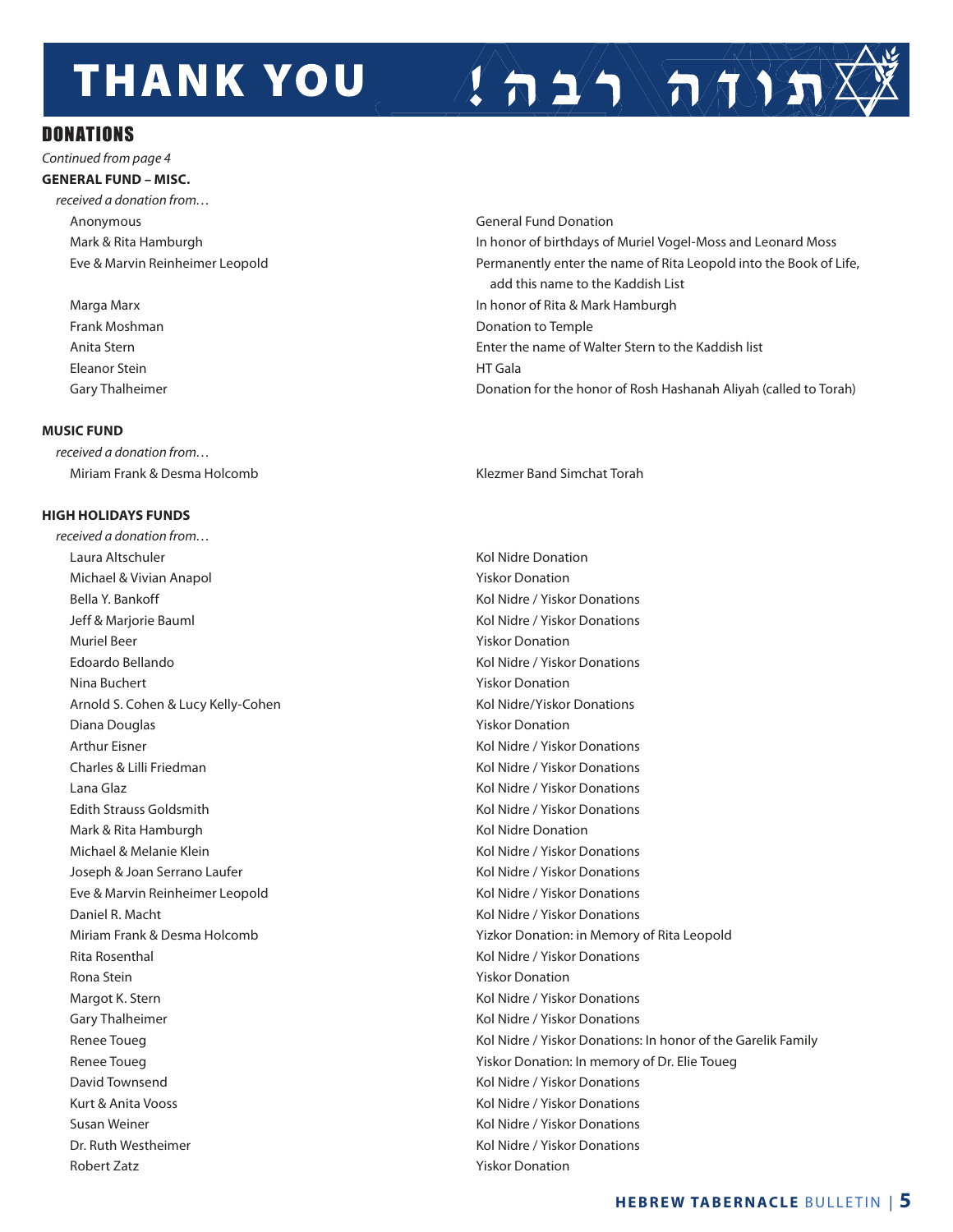# **THANK YOU**

![](_page_4_Picture_1.jpeg)

### DONATIONS

*Continued from page 4*

### **GENERAL FUND – MISC.**

*received a donation from…* Anonymous General Fund Donation

Eleanor Stein **HT Gala** 

#### **MUSIC FUND**

*received a donation from…*  Miriam Frank & Desma Holcomb **Klezmer Band Simchat Torah** Klezmer Band Simchat Torah

#### **HIGH HOLIDAYS FUNDS**

*received a donation from…* Laura Altschuler **Kollandia and Altischuler** Kol Nidre Donation Michael & Vivian Anapol Yiskor Donation Bella Y. Bankoff **Kollandia Community Community Community** Kol Nidre / Yiskor Donations Jeff & Marjorie Bauml **Kolley and State Constructs** Extending Maria Kol Nidre / Yiskor Donations Muriel Beer **Yiskor Donation**  Edoardo Bellando Kol Nidre / Yiskor Donations Nina Buchert **Yiskor Donation** Arnold S. Cohen & Lucy Kelly-Cohen Kol Nidre/Yiskor Donations Diana Douglas **National Struck Community Community** Piskor Donation Arthur Eisner Kolley and The Control of the Museum of the Kol Nidre / Yiskor Donations Charles & Lilli Friedman Kol Nidre / Yiskor Donations Lana Glaz Kol Nidre / Yiskor Donations Edith Strauss Goldsmith Kol Nidre / Yiskor Donations Mark & Rita Hamburgh **Kollah American Constructs** Kol Nidre Donation Michael & Melanie Klein Kol Nidre / Yiskor Donations Joseph & Joan Serrano Laufer **Kol Nidre / Yiskor Donations** Kol Nidre / Yiskor Donations Eve & Marvin Reinheimer Leopold **Kolley Constanting Constanting Constanting Constanting Constanting Constanting Constanting Constanting Constanting Constanting Constanting Constanting Constanting Constanting Constanting Co** Daniel R. Macht Kol Nidre / Yiskor Donations Rita Rosenthal **Kollect Rita Rosenthal** Kol Nidre / Yiskor Donations Rona Stein **No. 2008 Ronalistic Stein Stein Stein Stein Stein Stein Stein Stein Stein Stein Stein Stein Stein Stein Stein Stein Stein Stein Stein Stein Stein Stein Stein Stein Stein Stein Stein Stein Stein Stein Stein St** Margot K. Stern Kol Nidre / Yiskor Donations Gary Thalheimer **Kol Nidre / Yiskor Donations** Kol Nidre / Yiskor Donations David Townsend Kol Nidre / Yiskor Donations Kurt & Anita Vooss **Kolle Anita Vooss** Kol Nidre / Yiskor Donations Susan Weiner **Kolley and Susan Weiner Constructions** (Susan Weiner And The Material Act of Nidre / Yiskor Donations Dr. Ruth Westheimer **Kollands** Communications and Middle *Kol Nidre / Yiskor Donations* Robert Zatz **Yiskor Donation** 

 Mark & Rita Hamburgh In honor of birthdays of Muriel Vogel-Moss and Leonard Moss Eve & Marvin Reinheimer Leopold Permanently enter the name of Rita Leopold into the Book of Life, add this name to the Kaddish List Marga Marx In honor of Rita & Mark Hamburgh Frank Moshman **Donation to Temple** Anita Stern **Enter the name of Walter Stern to the Kaddish list Enter the name of Walter Stern to the Kaddish list** Gary Thalheimer Donation for the honor of Rosh Hashanah Aliyah (called to Torah)

 Miriam Frank & Desma Holcomb Yizkor Donation: in Memory of Rita Leopold Renee Toueg North Communist Communist Communist Communist Communist Communist Communist Communist Communist Co Renee Toueg **The Example 2018** Yiskor Donation: In memory of Dr. Elie Toueg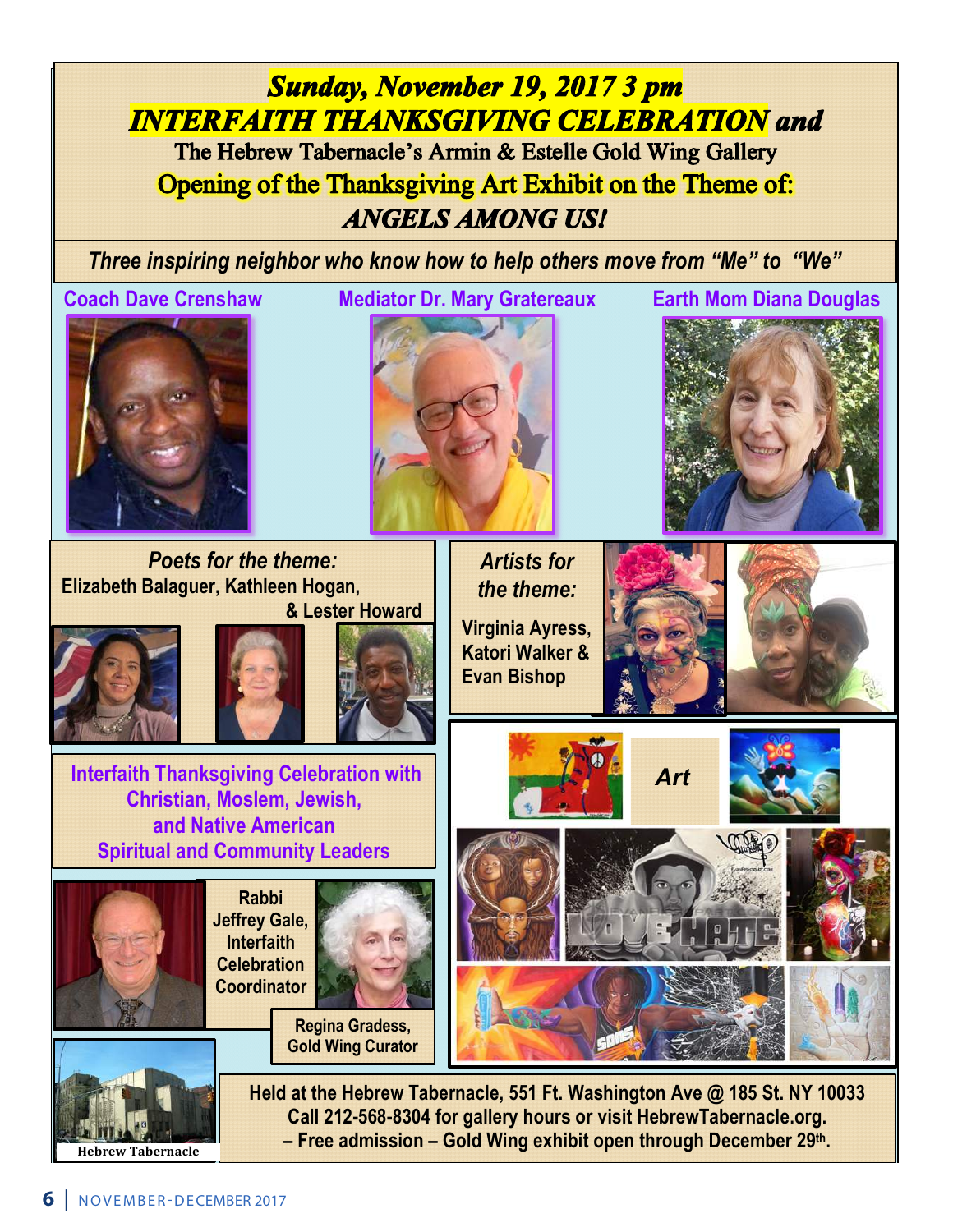**Sunday, November 19, 2017 3 pm INTERFAITH THANKSGIVING CELEBRATION and** The Hebrew Tabernacle's Armin & Estelle Gold Wing Gallery Opening of the Thanksgiving Art Exhibit on the Theme of: **ANGELS AMONG US!** 

 *Three inspiring neighbor who know how to help others move from "Me" to "We"*

![](_page_5_Picture_2.jpeg)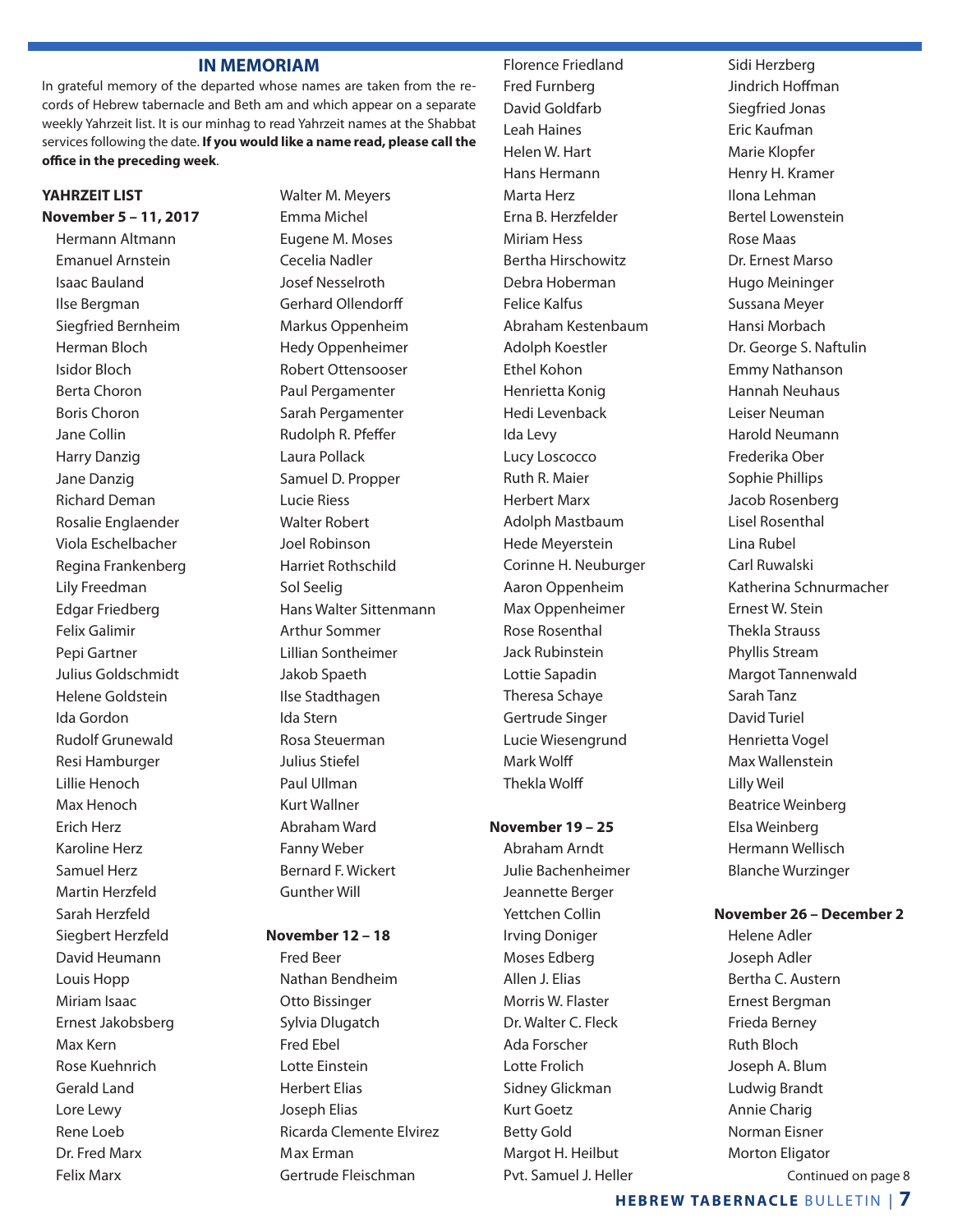#### **IN MEMORIAM**

In grateful memory of the departed whose names are taken from the records of Hebrew tabernacle and Beth am and which appear on a separate weekly Yahrzeit list. It is our minhag to read Yahrzeit names at the Shabbat services following the date. **If you would like a name read, please call the office in the preceding week**.

#### **YAHRZEIT LIST**

**November 5 – 11, 2017**

Hermann Altmann Emanuel Arnstein Isaac Bauland Ilse Bergman Siegfried Bernheim Herman Bloch Isidor Bloch Berta Choron Boris Choron Jane Collin Harry Danzig Jane Danzig Richard Deman Rosalie Englaender Viola Eschelbacher Regina Frankenberg Lily Freedman Edgar Friedberg Felix Galimir Pepi Gartner Julius Goldschmidt Helene Goldstein Ida Gordon Rudolf Grunewald Resi Hamburger Lillie Henoch Max Henoch Erich Herz Karoline Herz Samuel Herz Martin Herzfeld Sarah Herzfeld Siegbert Herzfeld David Heumann Louis Hopp Miriam Isaac Ernest Jakobsberg Max Kern Rose Kuehnrich Gerald Land Lore Lewy Rene Loeb Dr. Fred Marx Felix Marx

Walter M. Meyers Emma Michel Eugene M. Moses Cecelia Nadler Josef Nesselroth Gerhard Ollendorff Markus Oppenheim Hedy Oppenheimer Robert Ottensooser Paul Pergamenter Sarah Pergamenter Rudolph R. Pfeffer Laura Pollack Samuel D. Propper Lucie Riess Walter Robert Joel Robinson Harriet Rothschild Sol Seelig Hans Walter Sittenmann Arthur Sommer Lillian Sontheimer Jakob Spaeth Ilse Stadthagen Ida Stern Rosa Steuerman Julius Stiefel Paul Ullman Kurt Wallner Abraham Ward Fanny Weber Bernard F. Wickert Gunther Will

#### **November 12 – 18**

Fred Beer Nathan Bendheim Otto Bissinger Sylvia Dlugatch Fred Ebel Lotte Einstein Herbert Elias Joseph Elias Ricarda Clemente Elvirez Max Erman Gertrude Fleischman

Florence Friedland Fred Furnberg David Goldfarb Leah Haines Helen W. Hart Hans Hermann Marta Herz Erna B. Herzfelder Miriam Hess Bertha Hirschowitz Debra Hoberman Felice Kalfus Abraham Kestenbaum Adolph Koestler Ethel Kohon Henrietta Konig Hedi Levenback Ida Levy Lucy Loscocco Ruth R. Maier Herbert Marx Adolph Mastbaum Hede Meyerstein Corinne H. Neuburger Aaron Oppenheim Max Oppenheimer Rose Rosenthal Jack Rubinstein Lottie Sapadin Theresa Schaye Gertrude Singer Lucie Wiesengrund Mark Wolff Thekla Wolff

#### **November 19 – 25**

Abraham Arndt Julie Bachenheimer Jeannette Berger Yettchen Collin Irving Doniger Moses Edberg Allen J. Elias Morris W. Flaster Dr. Walter C. Fleck Ada Forscher Lotte Frolich Sidney Glickman Kurt Goetz Betty Gold Margot H. Heilbut Pvt. Samuel J. Heller Sidi Herzberg Jindrich Hoffman Siegfried Jonas Eric Kaufman Marie Klopfer Henry H. Kramer Ilona Lehman Bertel Lowenstein Rose Maas Dr. Ernest Marso Hugo Meininger Sussana Meyer Hansi Morbach Dr. George S. Naftulin Emmy Nathanson Hannah Neuhaus Leiser Neuman Harold Neumann Frederika Ober Sophie Phillips Jacob Rosenberg Lisel Rosenthal Lina Rubel Carl Ruwalski Katherina Schnurmacher Ernest W. Stein Thekla Strauss Phyllis Stream Margot Tannenwald Sarah Tanz David Turiel Henrietta Vogel Max Wallenstein Lilly Weil Beatrice Weinberg Elsa Weinberg Hermann Wellisch Blanche Wurzinger

#### **November 26 – December 2**

Helene Adler Joseph Adler Bertha C. Austern Ernest Bergman Frieda Berney Ruth Bloch Joseph A. Blum Ludwig Brandt Annie Charig Norman Eisner Morton Eligator Continued on page 8

**HEBREW TABERNACLE** BULLETIN | **7**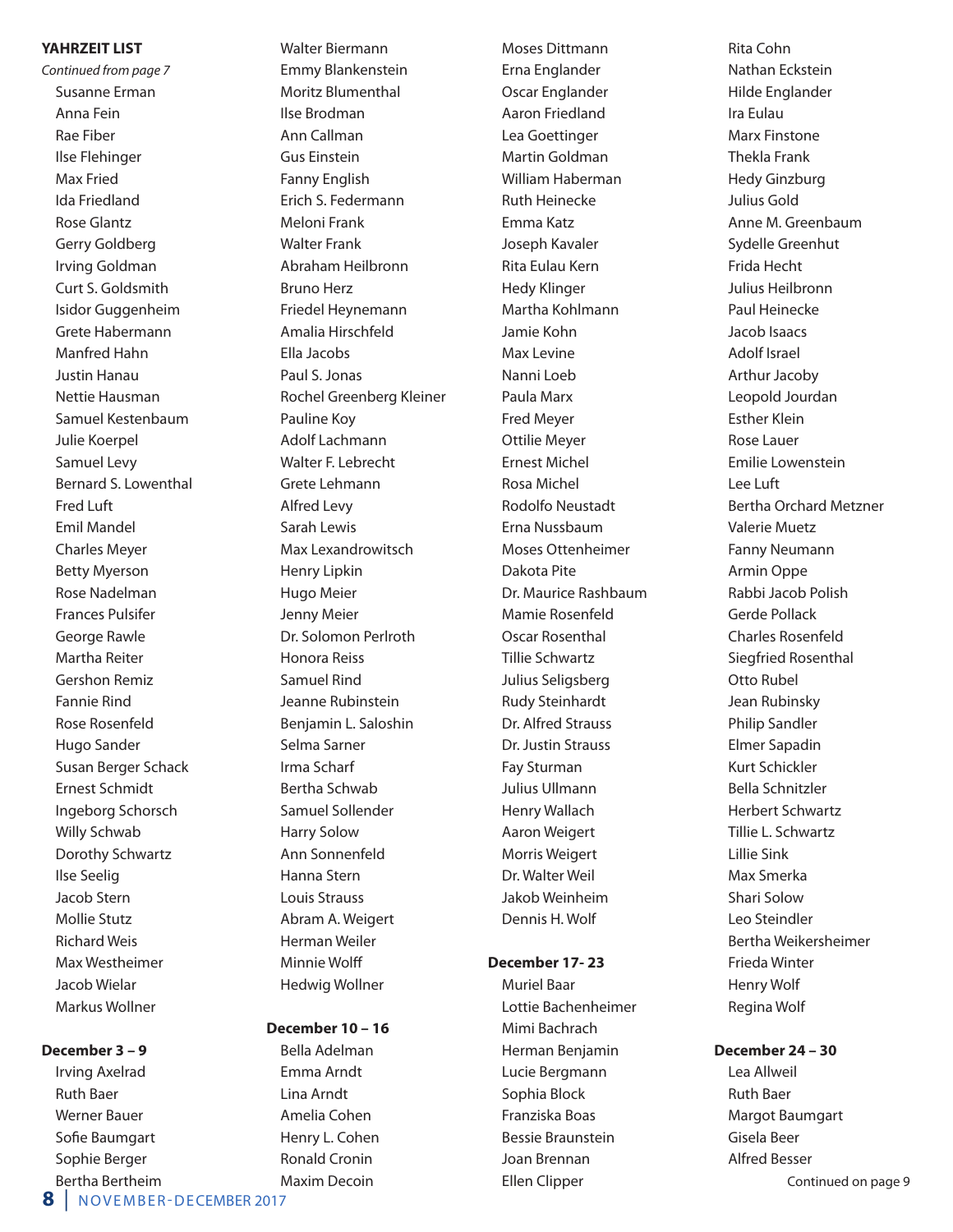#### **YAHRZEIT LIST**

*Continued from page 7* Susanne Erman Anna Fein Rae Fiber Ilse Flehinger Max Fried Ida Friedland Rose Glantz Gerry Goldberg Irving Goldman Curt S. Goldsmith Isidor Guggenheim Grete Habermann Manfred Hahn Justin Hanau Nettie Hausman Samuel Kestenbaum Julie Koerpel Samuel Levy Bernard S. Lowenthal Fred Luft Emil Mandel Charles Meyer Betty Myerson Rose Nadelman Frances Pulsifer George Rawle Martha Reiter Gershon Remiz Fannie Rind Rose Rosenfeld Hugo Sander Susan Berger Schack Ernest Schmidt Ingeborg Schorsch Willy Schwab Dorothy Schwartz Ilse Seelig Jacob Stern Mollie Stutz Richard Weis Max Westheimer Jacob Wielar Markus Wollner

#### **December 3 – 9**

Irving Axelrad Ruth Baer Werner Bauer Sofie Baumgart Sophie Berger Bertha Bertheim Walter Biermann Emmy Blankenstein Moritz Blumenthal Ilse Brodman Ann Callman Gus Einstein Fanny English Erich S. Federmann Meloni Frank Walter Frank Abraham Heilbronn Bruno Herz Friedel Heynemann Amalia Hirschfeld Ella Jacobs Paul S. Jonas Rochel Greenberg Kleiner Pauline Koy Adolf Lachmann Walter F. Lebrecht Grete Lehmann Alfred Levy Sarah Lewis Max Lexandrowitsch Henry Lipkin Hugo Meier Jenny Meier Dr. Solomon Perlroth Honora Reiss Samuel Rind Jeanne Rubinstein Benjamin L. Saloshin Selma Sarner Irma Scharf Bertha Schwab Samuel Sollender Harry Solow Ann Sonnenfeld Hanna Stern Louis Strauss Abram A. Weigert Herman Weiler Minnie Wolff Hedwig Wollner

#### **December 10 – 16**

Bella Adelman Emma Arndt Lina Arndt Amelia Cohen Henry L. Cohen Ronald Cronin Maxim Decoin

Moses Dittmann Erna Englander Oscar Englander Aaron Friedland Lea Goettinger Martin Goldman William Haberman Ruth Heinecke Emma Katz Joseph Kavaler Rita Eulau Kern Hedy Klinger Martha Kohlmann Jamie Kohn Max Levine Nanni Loeb Paula Marx Fred Meyer Ottilie Meyer Ernest Michel Rosa Michel Rodolfo Neustadt Erna Nussbaum Moses Ottenheimer Dakota Pite Dr. Maurice Rashbaum Mamie Rosenfeld Oscar Rosenthal Tillie Schwartz Julius Seligsberg Rudy Steinhardt Dr. Alfred Strauss Dr. Justin Strauss Fay Sturman Julius Ullmann Henry Wallach Aaron Weigert Morris Weigert Dr. Walter Weil Jakob Weinheim Dennis H. Wolf

#### **December 17- 23**

Muriel Baar Lottie Bachenheimer Mimi Bachrach Herman Benjamin Lucie Bergmann Sophia Block Franziska Boas Bessie Braunstein Joan Brennan Ellen Clipper

Rita Cohn Nathan Eckstein Hilde Englander Ira Eulau Marx Finstone Thekla Frank Hedy Ginzburg Julius Gold Anne M. Greenbaum Sydelle Greenhut Frida Hecht Julius Heilbronn Paul Heinecke Jacob Isaacs Adolf Israel Arthur Jacoby Leopold Jourdan Esther Klein Rose Lauer Emilie Lowenstein Lee Luft Bertha Orchard Metzner Valerie Muetz Fanny Neumann Armin Oppe Rabbi Jacob Polish Gerde Pollack Charles Rosenfeld Siegfried Rosenthal Otto Rubel Jean Rubinsky Philip Sandler Elmer Sapadin Kurt Schickler Bella Schnitzler Herbert Schwartz Tillie L. Schwartz Lillie Sink Max Smerka Shari Solow Leo Steindler Bertha Weikersheimer Frieda Winter Henry Wolf Regina Wolf

#### **December 24 – 30**

Lea Allweil Ruth Baer Margot Baumgart Gisela Beer Alfred Besser Continued on page 9

**8** | NOVEMBER-DECEMBER 2017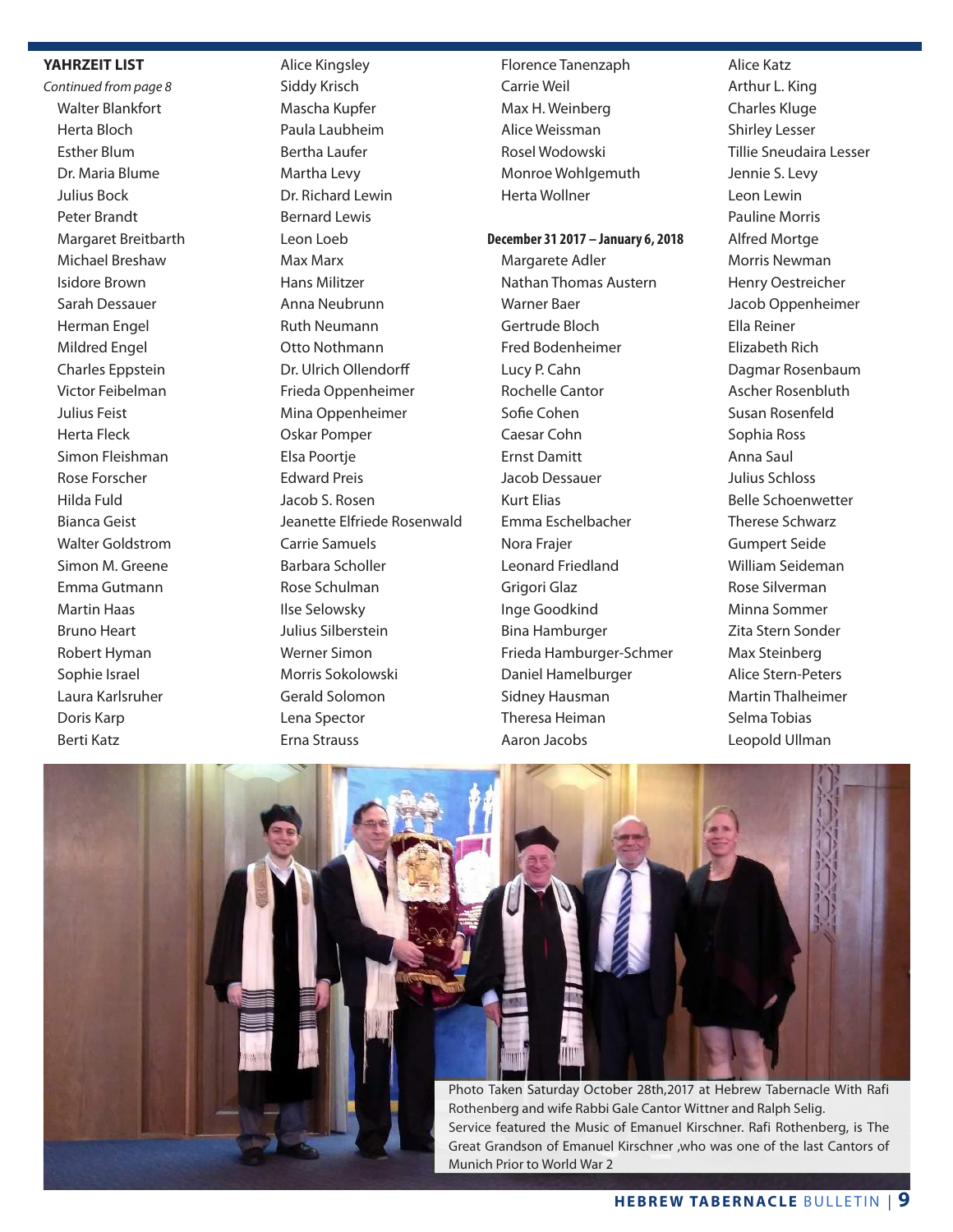#### **YAHRZEIT LIST**

*Continued from page 8* Walter Blankfort Herta Bloch Esther Blum Dr. Maria Blume Julius Bock Peter Brandt Margaret Breitbarth Michael Breshaw Isidore Brown Sarah Dessauer Herman Engel Mildred Engel Charles Eppstein Victor Feibelman Julius Feist Herta Fleck Simon Fleishman Rose Forscher Hilda Fuld Bianca Geist Walter Goldstrom Simon M. Greene Emma Gutmann Martin Haas Bruno Heart Robert Hyman Sophie Israel Laura Karlsruher Doris Karp Berti Katz

Alice Kingsley Siddy Krisch Mascha Kupfer Paula Laubheim Bertha Laufer Martha Levy Dr. Richard Lewin Bernard Lewis Leon Loeb Max Marx Hans Militzer Anna Neubrunn Ruth Neumann Otto Nothmann Dr. Ulrich Ollendorff Frieda Oppenheimer Mina Oppenheimer Oskar Pomper Elsa Poortje Edward Preis Jacob S. Rosen Jeanette Elfriede Rosenwald Carrie Samuels Barbara Scholler Rose Schulman Ilse Selowsky Julius Silberstein Werner Simon Morris Sokolowski Gerald Solomon Lena Spector Erna Strauss

Florence Tanenzaph Carrie Weil Max H. Weinberg Alice Weissman Rosel Wodowski Monroe Wohlgemuth Herta Wollner

**December 31 2017 – January 6, 2018**

Margarete Adler Nathan Thomas Austern Warner Baer Gertrude Bloch Fred Bodenheimer Lucy P. Cahn Rochelle Cantor Sofie Cohen Caesar Cohn Ernst Damitt Jacob Dessauer Kurt Elias Emma Eschelbacher Nora Frajer Leonard Friedland Grigori Glaz Inge Goodkind Bina Hamburger Frieda Hamburger-Schmer Daniel Hamelburger Sidney Hausman Theresa Heiman Aaron Jacobs

Alice Katz Arthur L. King Charles Kluge Shirley Lesser Tillie Sneudaira Lesser Jennie S. Levy Leon Lewin Pauline Morris Alfred Mortge Morris Newman Henry Oestreicher Jacob Oppenheimer Ella Reiner Elizabeth Rich Dagmar Rosenbaum Ascher Rosenbluth Susan Rosenfeld Sophia Ross Anna Saul Julius Schloss Belle Schoenwetter Therese Schwarz Gumpert Seide William Seideman Rose Silverman Minna Sommer Zita Stern Sonder Max Steinberg Alice Stern-Peters Martin Thalheimer Selma Tobias Leopold Ullman

![](_page_8_Picture_7.jpeg)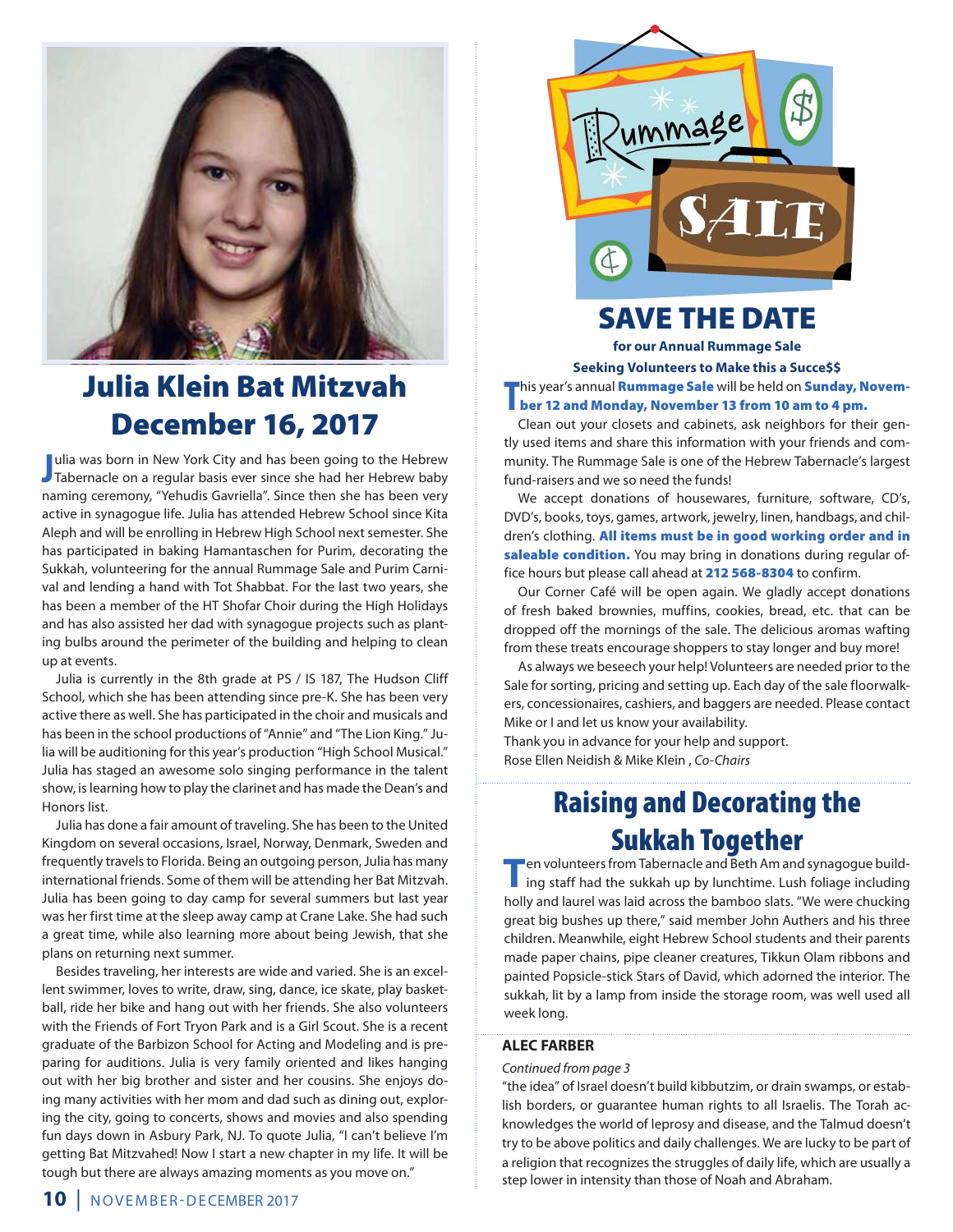![](_page_9_Picture_0.jpeg)

# Julia Klein Bat Mitzvah December 16, 2017

**J**ulia was born in New York City and has been going to the Hebrew baby<br>Tabernacle on a regular basis ever since she had her Hebrew baby ulia was born in New York City and has been going to the Hebrew naming ceremony, "Yehudis Gavriella". Since then she has been very active in synagogue life. Julia has attended Hebrew School since Kita Aleph and will be enrolling in Hebrew High School next semester. She has participated in baking Hamantaschen for Purim, decorating the Sukkah, volunteering for the annual Rummage Sale and Purim Carnival and lending a hand with Tot Shabbat. For the last two years, she has been a member of the HT Shofar Choir during the High Holidays and has also assisted her dad with synagogue projects such as planting bulbs around the perimeter of the building and helping to clean up at events.

Julia is currently in the 8th grade at PS / IS 187, The Hudson Cliff School, which she has been attending since pre-K. She has been very active there as well. She has participated in the choir and musicals and has been in the school productions of "Annie" and "The Lion King." Julia will be auditioning for this year's production "High School Musical." Julia has staged an awesome solo singing performance in the talent show, is learning how to play the clarinet and has made the Dean's and Honors list.

Julia has done a fair amount of traveling. She has been to the United Kingdom on several occasions, Israel, Norway, Denmark, Sweden and frequently travels to Florida. Being an outgoing person, Julia has many international friends. Some of them will be attending her Bat Mitzvah. Julia has been going to day camp for several summers but last year was her first time at the sleep away camp at Crane Lake. She had such a great time, while also learning more about being Jewish, that she plans on returning next summer.

Besides traveling, her interests are wide and varied. She is an excellent swimmer, loves to write, draw, sing, dance, ice skate, play basketball, ride her bike and hang out with her friends. She also volunteers with the Friends of Fort Tryon Park and is a Girl Scout. She is a recent graduate of the Barbizon School for Acting and Modeling and is preparing for auditions. Julia is very family oriented and likes hanging out with her big brother and sister and her cousins. She enjoys doing many activities with her mom and dad such as dining out, exploring the city, going to concerts, shows and movies and also spending fun days down in Asbury Park, NJ. To quote Julia, "I can't believe I'm getting Bat Mitzvahed! Now I start a new chapter in my life. It will be tough but there are always amazing moments as you move on."

![](_page_9_Picture_6.jpeg)

### SAVE THE DATE

**for our Annual Rummage Sale**

**Seeking Volunteers to Make this a Succe\$\$ This year's annual Rummage Sale will be held on Sunday, N<br>
<b>This year's and Monday, November 13 from 10 am to 4 pm.** This year's annual **Rummage Sale** will be held on **Sunday, Novem-**

Clean out your closets and cabinets, ask neighbors for their gently used items and share this information with your friends and community. The Rummage Sale is one of the Hebrew Tabernacle's largest fund-raisers and we so need the funds!

We accept donations of housewares, furniture, software, CD's, DVD's, books, toys, games, artwork, jewelry, linen, handbags, and children's clothing. All items must be in good working order and in saleable condition. You may bring in donations during regular office hours but please call ahead at 212 568-8304 to confirm.

Our Corner Café will be open again. We gladly accept donations of fresh baked brownies, muffins, cookies, bread, etc. that can be dropped off the mornings of the sale. The delicious aromas wafting from these treats encourage shoppers to stay longer and buy more!

As always we beseech your help! Volunteers are needed prior to the Sale for sorting, pricing and setting up. Each day of the sale floorwalkers, concessionaires, cashiers, and baggers are needed. Please contact Mike or I and let us know your availability.

Thank you in advance for your help and support. Rose Ellen Neidish & Mike Klein , *Co-Chairs*

## Raising and Decorating the Sukkah Together

**T**en volunteers from Tabernacle and Beth Am and synagogue building staff had the sukkah up by lunchtime. Lush foliage including holly and laurel was laid across the bamboo slats. "We were chucking great big bushes up there," said member John Authers and his three children. Meanwhile, eight Hebrew School students and their parents made paper chains, pipe cleaner creatures, Tikkun Olam ribbons and painted Popsicle-stick Stars of David, which adorned the interior. The sukkah, lit by a lamp from inside the storage room, was well used all week long.

#### **ALEC FARBER**

#### *Continued from page 3*

"the idea" of Israel doesn't build kibbutzim, or drain swamps, or establish borders, or guarantee human rights to all Israelis. The Torah acknowledges the world of leprosy and disease, and the Talmud doesn't try to be above politics and daily challenges. We are lucky to be part of a religion that recognizes the struggles of daily life, which are usually a step lower in intensity than those of Noah and Abraham.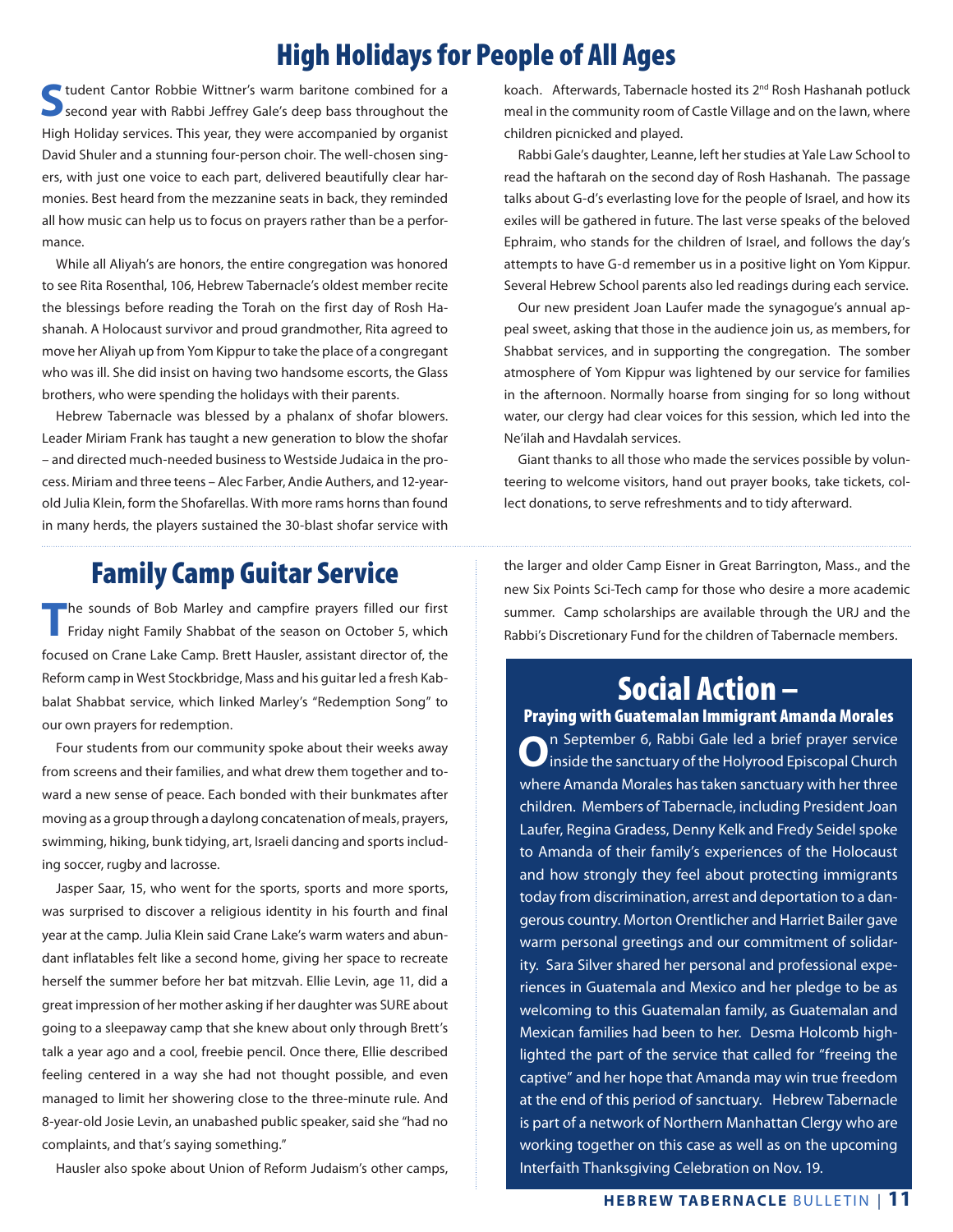### High Holidays for People of All Ages

**S**tudent Cantor Robbie Wittner's warm baritone combined for a second year with Rabbi Jeffrey Gale's deep bass throughout the High Holiday services. This year, they were accompanied by organist David Shuler and a stunning four-person choir. The well-chosen singers, with just one voice to each part, delivered beautifully clear harmonies. Best heard from the mezzanine seats in back, they reminded all how music can help us to focus on prayers rather than be a performance.

While all Aliyah's are honors, the entire congregation was honored to see Rita Rosenthal, 106, Hebrew Tabernacle's oldest member recite the blessings before reading the Torah on the first day of Rosh Hashanah. A Holocaust survivor and proud grandmother, Rita agreed to move her Aliyah up from Yom Kippur to take the place of a congregant who was ill. She did insist on having two handsome escorts, the Glass brothers, who were spending the holidays with their parents.

Hebrew Tabernacle was blessed by a phalanx of shofar blowers. Leader Miriam Frank has taught a new generation to blow the shofar – and directed much-needed business to Westside Judaica in the process. Miriam and three teens – Alec Farber, Andie Authers, and 12-yearold Julia Klein, form the Shofarellas. With more rams horns than found in many herds, the players sustained the 30-blast shofar service with

## Family Camp Guitar Service

**T**he sounds of Bob Marley and campfire prayers filled our first Friday night Family Shabbat of the season on October 5, which focused on Crane Lake Camp. Brett Hausler, assistant director of, the Reform camp in West Stockbridge, Mass and his guitar led a fresh Kabbalat Shabbat service, which linked Marley's "Redemption Song" to our own prayers for redemption.

Four students from our community spoke about their weeks away from screens and their families, and what drew them together and toward a new sense of peace. Each bonded with their bunkmates after moving as a group through a daylong concatenation of meals, prayers, swimming, hiking, bunk tidying, art, Israeli dancing and sports including soccer, rugby and lacrosse.

 Jasper Saar, 15, who went for the sports, sports and more sports, was surprised to discover a religious identity in his fourth and final year at the camp. Julia Klein said Crane Lake's warm waters and abundant inflatables felt like a second home, giving her space to recreate herself the summer before her bat mitzvah. Ellie Levin, age 11, did a great impression of her mother asking if her daughter was SURE about going to a sleepaway camp that she knew about only through Brett's talk a year ago and a cool, freebie pencil. Once there, Ellie described feeling centered in a way she had not thought possible, and even managed to limit her showering close to the three-minute rule. And 8-year-old Josie Levin, an unabashed public speaker, said she "had no complaints, and that's saying something."

Hausler also spoke about Union of Reform Judaism's other camps,

koach. Afterwards, Tabernacle hosted its 2<sup>nd</sup> Rosh Hashanah potluck meal in the community room of Castle Village and on the lawn, where children picnicked and played.

Rabbi Gale's daughter, Leanne, left her studies at Yale Law School to read the haftarah on the second day of Rosh Hashanah. The passage talks about G-d's everlasting love for the people of Israel, and how its exiles will be gathered in future. The last verse speaks of the beloved Ephraim, who stands for the children of Israel, and follows the day's attempts to have G-d remember us in a positive light on Yom Kippur. Several Hebrew School parents also led readings during each service.

Our new president Joan Laufer made the synagogue's annual appeal sweet, asking that those in the audience join us, as members, for Shabbat services, and in supporting the congregation. The somber atmosphere of Yom Kippur was lightened by our service for families in the afternoon. Normally hoarse from singing for so long without water, our clergy had clear voices for this session, which led into the Ne'ilah and Havdalah services.

Giant thanks to all those who made the services possible by volunteering to welcome visitors, hand out prayer books, take tickets, collect donations, to serve refreshments and to tidy afterward.

the larger and older Camp Eisner in Great Barrington, Mass., and the new Six Points Sci-Tech camp for those who desire a more academic summer. Camp scholarships are available through the URJ and the Rabbi's Discretionary Fund for the children of Tabernacle members.

# Social Action –

Praying with Guatemalan Immigrant Amanda Morales **O**n September 6, Rabbi Gale led a brief prayer service inside the sanctuary of the Holyrood Episcopal Church where Amanda Morales has taken sanctuary with her three children. Members of Tabernacle, including President Joan Laufer, Regina Gradess, Denny Kelk and Fredy Seidel spoke to Amanda of their family's experiences of the Holocaust and how strongly they feel about protecting immigrants today from discrimination, arrest and deportation to a dangerous country. Morton Orentlicher and Harriet Bailer gave warm personal greetings and our commitment of solidarity. Sara Silver shared her personal and professional experiences in Guatemala and Mexico and her pledge to be as welcoming to this Guatemalan family, as Guatemalan and Mexican families had been to her. Desma Holcomb highlighted the part of the service that called for "freeing the captive" and her hope that Amanda may win true freedom at the end of this period of sanctuary. Hebrew Tabernacle is part of a network of Northern Manhattan Clergy who are working together on this case as well as on the upcoming Interfaith Thanksgiving Celebration on Nov. 19.